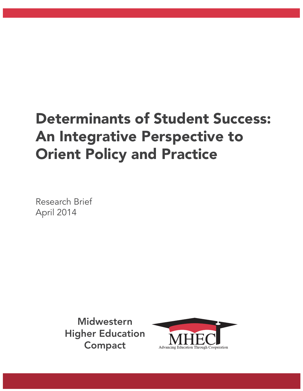# Determinants of Student Success: An Integrative Perspective to Orient Policy and Practice

Research Brief April 2014

> Midwestern Higher Education Compact

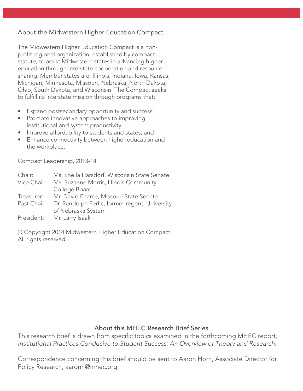# About the Midwestern Higher Education Compact

The Midwestern Higher Education Compact is a nonprofit regional organization, established by compact statute, to assist Midwestern states in advancing higher education through interstate cooperation and resource sharing. Member states are: Illinois, Indiana, Iowa, Kansas, Michigan, Minnesota, Missouri, Nebraska, North Dakota, Ohio, South Dakota, and Wisconsin. The Compact seeks to fulfill its interstate mission through programs that:

- Expand postsecondary opportunity and success;
- Promote innovative approaches to improving institutional and system productivity;
- Improve affordability to students and states; and
- Enhance connectivity between higher education and the workplace.

Compact Leadership, 2013-14

| Chair:      | Ms. Sheila Harsdorf, Wisconsin State Senate    |
|-------------|------------------------------------------------|
| Vice Chair: | Ms. Suzanne Morris, Illinois Community         |
|             | College Board                                  |
| Treasurer:  | Mr. David Pearce, Missouri State Senate        |
| Past Chair: | Dr. Randolph Ferlic, former regent, University |
|             | of Nebraska System                             |
|             | President: Mr. Larry Isaak                     |

© Copyright 2014 Midwestern Higher Education Compact. All rights reserved.

# About this MHEC Research Brief Series

This research brief is drawn from specific topics examined in the forthcoming MHEC report, Institutional Practices Conducive to Student Success: An Overview of Theory and Research.

Correspondence concerning this brief should be sent to Aaron Horn, Associate Director for Policy Research, aaronh@mhec.org.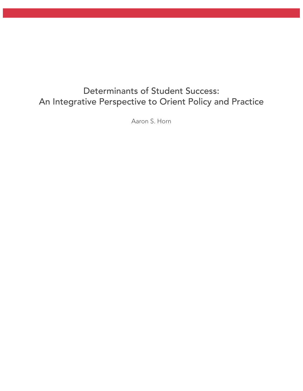# Determinants of Student Success: An Integrative Perspective to Orient Policy and Practice

Aaron S. Horn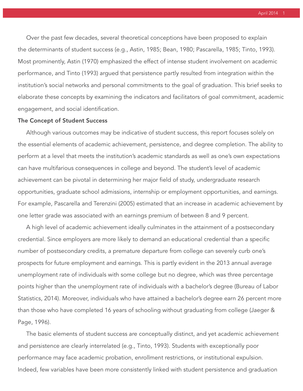April 2014 1

 Over the past few decades, several theoretical conceptions have been proposed to explain the determinants of student success (e.g., Astin, 1985; Bean, 1980; Pascarella, 1985; Tinto, 1993). Most prominently, Astin (1970) emphasized the effect of intense student involvement on academic performance, and Tinto (1993) argued that persistence partly resulted from integration within the institution's social networks and personal commitments to the goal of graduation. This brief seeks to elaborate these concepts by examining the indicators and facilitators of goal commitment, academic engagement, and social identification.

#### The Concept of Student Success

 Although various outcomes may be indicative of student success, this report focuses solely on the essential elements of academic achievement, persistence, and degree completion. The ability to perform at a level that meets the institution's academic standards as well as one's own expectations can have multifarious consequences in college and beyond. The student's level of academic achievement can be pivotal in determining her major field of study, undergraduate research opportunities, graduate school admissions, internship or employment opportunities, and earnings. For example, Pascarella and Terenzini (2005) estimated that an increase in academic achievement by one letter grade was associated with an earnings premium of between 8 and 9 percent.

 A high level of academic achievement ideally culminates in the attainment of a postsecondary credential. Since employers are more likely to demand an educational credential than a specific number of postsecondary credits, a premature departure from college can severely curb one's prospects for future employment and earnings. This is partly evident in the 2013 annual average unemployment rate of individuals with some college but no degree, which was three percentage points higher than the unemployment rate of individuals with a bachelor's degree (Bureau of Labor Statistics, 2014). Moreover, individuals who have attained a bachelor's degree earn 26 percent more than those who have completed 16 years of schooling without graduating from college (Jaeger & Page, 1996).

 The basic elements of student success are conceptually distinct, and yet academic achievement and persistence are clearly interrelated (e.g., Tinto, 1993). Students with exceptionally poor performance may face academic probation, enrollment restrictions, or institutional expulsion. Indeed, few variables have been more consistently linked with student persistence and graduation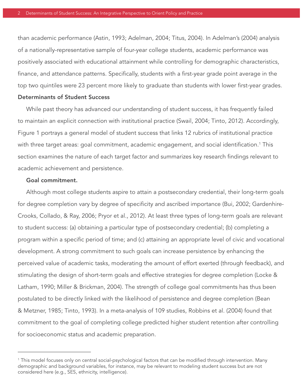than academic performance (Astin, 1993; Adelman, 2004; Titus, 2004). In Adelman's (2004) analysis of a nationally-representative sample of four-year college students, academic performance was positively associated with educational attainment while controlling for demographic characteristics, finance, and attendance patterns. Specifically, students with a first-year grade point average in the top two quintiles were 23 percent more likely to graduate than students with lower first-year grades.

#### Determinants of Student Success

 While past theory has advanced our understanding of student success, it has frequently failed to maintain an explicit connection with institutional practice (Swail, 2004; Tinto, 2012). Accordingly, Figure 1 portrays a general model of student success that links 12 rubrics of institutional practice with three target areas: goal commitment, academic engagement, and social identification. $^{\rm 1}$  This section examines the nature of each target factor and summarizes key research findings relevant to academic achievement and persistence.

#### Goal commitment.

 Although most college students aspire to attain a postsecondary credential, their long-term goals for degree completion vary by degree of specificity and ascribed importance (Bui, 2002; Gardenhire-Crooks, Collado, & Ray, 2006; Pryor et al., 2012). At least three types of long-term goals are relevant to student success: (a) obtaining a particular type of postsecondary credential; (b) completing a program within a specific period of time; and (c) attaining an appropriate level of civic and vocational development. A strong commitment to such goals can increase persistence by enhancing the perceived value of academic tasks, moderating the amount of effort exerted (through feedback), and stimulating the design of short-term goals and effective strategies for degree completion (Locke & Latham, 1990; Miller & Brickman, 2004). The strength of college goal commitments has thus been postulated to be directly linked with the likelihood of persistence and degree completion (Bean & Metzner, 1985; Tinto, 1993). In a meta-analysis of 109 studies, Robbins et al. (2004) found that commitment to the goal of completing college predicted higher student retention after controlling for socioeconomic status and academic preparation.

 $^{\rm 1}$  This model focuses only on central social-psychological factors that can be modified through intervention. Many demographic and background variables, for instance, may be relevant to modeling student success but are not considered here (e.g., SES, ethnicity, intelligence).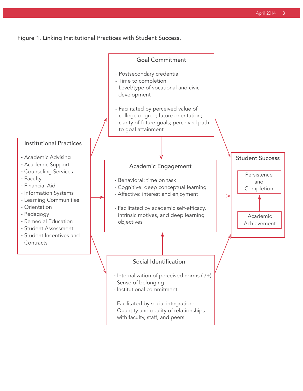Figure 1. Linking Institutional Practices with Student Success.

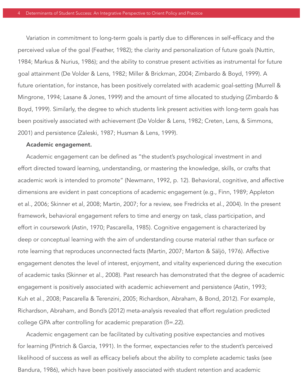Variation in commitment to long-term goals is partly due to differences in self-efficacy and the perceived value of the goal (Feather, 1982); the clarity and personalization of future goals (Nuttin, 1984; Markus & Nurius, 1986); and the ability to construe present activities as instrumental for future goal attainment (De Volder & Lens, 1982; Miller & Brickman, 2004; Zimbardo & Boyd, 1999). A future orientation, for instance, has been positively correlated with academic goal-setting (Murrell & Mingrone, 1994; Lasane & Jones, 1999) and the amount of time allocated to studying (Zimbardo & Boyd, 1999). Similarly, the degree to which students link present activities with long-term goals has been positively associated with achievement (De Volder & Lens, 1982; Creten, Lens, & Simmons, 2001) and persistence (Zaleski, 1987; Husman & Lens, 1999).

#### Academic engagement.

Academic engagement can be defined as "the student's psychological investment in and effort directed toward learning, understanding, or mastering the knowledge, skills, or crafts that academic work is intended to promote" (Newmann, 1992, p. 12). Behavioral, cognitive, and affective dimensions are evident in past conceptions of academic engagement (e.g., Finn, 1989; Appleton et al., 2006; Skinner et al, 2008; Martin, 2007; for a review, see Fredricks et al., 2004). In the present framework, behavioral engagement refers to time and energy on task, class participation, and effort in coursework (Astin, 1970; Pascarella, 1985). Cognitive engagement is characterized by deep or conceptual learning with the aim of understanding course material rather than surface or rote learning that reproduces unconnected facts (Martin, 2007; Marton & Säljö, 1976). Affective engagement denotes the level of interest, enjoyment, and vitality experienced during the execution of academic tasks (Skinner et al., 2008). Past research has demonstrated that the degree of academic engagement is positively associated with academic achievement and persistence (Astin, 1993; Kuh et al., 2008; Pascarella & Terenzini, 2005; Richardson, Abraham, & Bond, 2012). For example, Richardson, Abraham, and Bond's (2012) meta-analysis revealed that effort regulation predicted college GPA after controlling for academic preparation (ß=.22).

 Academic engagement can be facilitated by cultivating positive expectancies and motives for learning (Pintrich & Garcia, 1991). In the former, expectancies refer to the student's perceived likelihood of success as well as efficacy beliefs about the ability to complete academic tasks (see Bandura, 1986), which have been positively associated with student retention and academic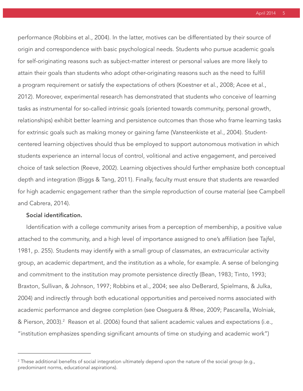April 2014

performance (Robbins et al., 2004). In the latter, motives can be differentiated by their source of origin and correspondence with basic psychological needs. Students who pursue academic goals for self-originating reasons such as subject-matter interest or personal values are more likely to attain their goals than students who adopt other-originating reasons such as the need to fulfill a program requirement or satisfy the expectations of others (Koestner et al., 2008; Acee et al., 2012). Moreover, experimental research has demonstrated that students who conceive of learning tasks as instrumental for so-called intrinsic goals (oriented towards community, personal growth, relationships) exhibit better learning and persistence outcomes than those who frame learning tasks for extrinsic goals such as making money or gaining fame (Vansteenkiste et al., 2004). Studentcentered learning objectives should thus be employed to support autonomous motivation in which students experience an internal locus of control, volitional and active engagement, and perceived choice of task selection (Reeve, 2002). Learning objectives should further emphasize both conceptual depth and integration (Biggs & Tang, 2011). Finally, faculty must ensure that students are rewarded for high academic engagement rather than the simple reproduction of course material (see Campbell and Cabrera, 2014).

### Social identification.

Identification with a college community arises from a perception of membership, a positive value attached to the community, and a high level of importance assigned to one's affiliation (see Tajfel, 1981, p. 255). Students may identify with a small group of classmates, an extracurricular activity group, an academic department, and the institution as a whole, for example. A sense of belonging and commitment to the institution may promote persistence directly (Bean, 1983; Tinto, 1993; Braxton, Sullivan, & Johnson, 1997; Robbins et al., 2004; see also DeBerard, Spielmans, & Julka, 2004) and indirectly through both educational opportunities and perceived norms associated with academic performance and degree completion (see Oseguera & Rhee, 2009; Pascarella, Wolniak, & Pierson, 2003).<sup>2</sup> Reason et al. (2006) found that salient academic values and expectations (i.e., "institution emphasizes spending significant amounts of time on studying and academic work")

 $^{\rm 2}$  These additional benefits of social integration ultimately depend upon the nature of the social group (e.g., predominant norms, educational aspirations).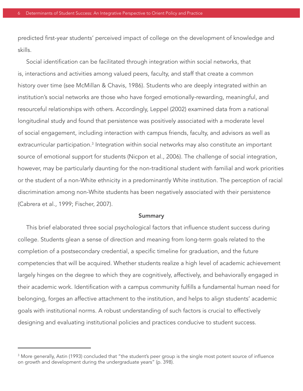predicted first-year students' perceived impact of college on the development of knowledge and skills.

Social identification can be facilitated through integration within social networks, that is, interactions and activities among valued peers, faculty, and staff that create a common history over time (see McMillan & Chavis, 1986). Students who are deeply integrated within an institution's social networks are those who have forged emotionally-rewarding, meaningful, and resourceful relationships with others. Accordingly, Leppel (2002) examined data from a national longitudinal study and found that persistence was positively associated with a moderate level of social engagement, including interaction with campus friends, faculty, and advisors as well as extracurricular participation.<sup>3</sup> Integration within social networks may also constitute an important source of emotional support for students (Nicpon et al., 2006). The challenge of social integration, however, may be particularly daunting for the non-traditional student with familial and work priorities or the student of a non-White ethnicity in a predominantly White institution. The perception of racial discrimination among non-White students has been negatively associated with their persistence (Cabrera et al., 1999; Fischer, 2007).

#### Summary

This brief elaborated three social psychological factors that influence student success during college. Students glean a sense of direction and meaning from long-term goals related to the completion of a postsecondary credential, a specific timeline for graduation, and the future competencies that will be acquired. Whether students realize a high level of academic achievement largely hinges on the degree to which they are cognitively, affectively, and behaviorally engaged in their academic work. Identification with a campus community fulfills a fundamental human need for belonging, forges an affective attachment to the institution, and helps to align students' academic goals with institutional norms. A robust understanding of such factors is crucial to effectively designing and evaluating institutional policies and practices conducive to student success.

 $^{\rm 3}$  More generally, Astin (1993) concluded that "the student's peer group is the single most potent source of influence on growth and development during the undergraduate years" (p. 398).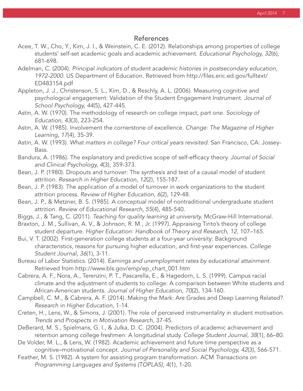## References

- Acee, T. W., Cho, Y., Kim, J. I., & Weinstein, C. E. (2012). Relationships among properties of college students' self-set academic goals and academic achievement. Educational Psychology, 32(6), 681-698.
- Adelman, C. (2004). Principal indicators of student academic histories in postsecondary education, 1972-2000. US Department of Education. Retrieved from http://fi les.eric.ed.gov/fulltext/ ED483154.pdf
- Appleton, J. J., Christenson, S. L., Kim, D., & Reschly, A. L. (2006). Measuring cognitive and psychological engagement: Validation of the Student Engagement Instrument. Journal of School Psychology, 44(5), 427-445.
- Astin, A. W. (1970). The methodology of research on college impact, part one. Sociology of Education, 43(3), 223-254.
- Astin, A. W. (1985). Involvement the cornerstone of excellence. Change: The Magazine of Higher Learning, 17(4), 35-39.
- Astin, A. W. (1993). What matters in college? Four critical years revisited. San Francisco, CA: Jossey- Bass.
- Bandura, A. (1986). The explanatory and predictive scope of self-efficacy theory. Journal of Social and Clinical Psychology, 4(3), 359-373.
- Bean, J. P. (1980). Dropouts and turnover: The synthesis and test of a causal model of student attrition. Research in Higher Education, 12(2), 155-187.
- Bean, J. P. (1983). The application of a model of turnover in work organizations to the student attrition process. Review of Higher Education, 6(2), 129-48.
- Bean, J. P., & Metzner, B. S. (1985). A conceptual model of nontraditional undergraduate student attrition. Review of Educational Research, 55(4), 485-540.
- Biggs, J., & Tang, C. (2011). Teaching for quality learning at university. McGraw-Hill International.
- Braxton, J. M., Sullivan, A. V., & Johnson, R. M., Jr. (1997). Appraising Tinto's theory of college student departure. Higher Education: Handbook of Theory and Research, 12, 107–165.
- Bui, V. T. (2002). First-generation college students at a four-year university: Background characteristics, reasons for pursuing higher education, and first-year experiences. College Student Journal, 36(1), 3-11.
- Bureau of Labor Statistics. (2014). Earnings and unemployment rates by educational attainment. Retrieved from http://www.bls.gov/emp/ep\_chart\_001.htm
- Cabrera, A. F., Nora, A., Terenzini, P. T., Pascarella, E., & Hagedorn, L. S. (1999). Campus racial climate and the adjustment of students to college: A comparison between White students and African-American students. Journal of Higher Education, 70(2), 134-160.
- Campbell, C. M., & Cabrera, A. F. (2014). Making the Mark: Are Grades and Deep Learning Related?. Research in Higher Education, 1-14.
- Creten, H., Lens, W., & Simons, J. (2001). The role of perceived instrumentality in student motivation. Trends and Prospects in Motivation Research, 37-45.
- DeBerard, M. S., Spielmans, G. I., & Julka, D. C. (2004). Predictors of academic achievement and retention among college freshmen: A longitudinal study. College Student Journal, 38(1), 66–80.
- De Volder, M. L., & Lens, W. (1982). Academic achievement and future time perspective as a cognitive–motivational concept. Journal of Personality and Social Psychology, 42(3), 566-571.
- Feather, M. S. (1982). A system for assisting program transformation. ACM Transactions on Programming Languages and Systems (TOPLAS), 4(1), 1-20.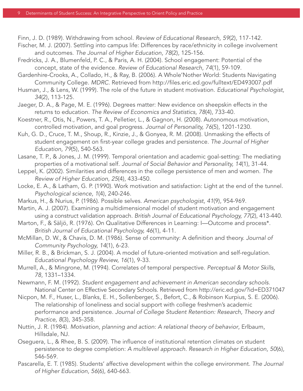Finn, J. D. (1989). Withdrawing from school. Review of Educational Research, 59(2), 117-142.

- Fischer, M. J. (2007). Settling into campus life: Differences by race/ethnicity in college involvement and outcomes. The Journal of Higher Education, 78(2), 125-156.
- Fredricks, J. A., Blumenfeld, P. C., & Paris, A. H. (2004). School engagement: Potential of the concept, state of the evidence. Review of Educational Research, 74(1), 59-109.
- Gardenhire-Crooks, A., Collado, H., & Ray, B. (2006). A Whole'Nother World: Students Navigating Community College. MDRC. Retrieved from http://fi les.eric.ed.gov/fulltext/ED493007.pdf
- Husman, J., & Lens, W. (1999). The role of the future in student motivation. Educational Psychologist, 34(2), 113-125.
- Jaeger, D. A., & Page, M. E. (1996). Degrees matter: New evidence on sheepskin effects in the returns to education. The Review of Economics and Statistics, 78(4), 733-40.
- Koestner, R., Otis, N., Powers, T. A., Pelletier, L., & Gagnon, H. (2008). Autonomous motivation, controlled motivation, and goal progress. Journal of Personality, 76(5), 1201-1230.
- Kuh, G. D., Cruce, T. M., Shoup, R., Kinzie, J., & Gonyea, R. M. (2008). Unmasking the effects of student engagement on first-year college grades and persistence. The Journal of Higher Education, 79(5), 540-563.
- Lasane, T. P., & Jones, J. M. (1999). Temporal orientation and academic goal-setting: The mediating properties of a motivational self. Journal of Social Behavior and Personality, 14(1), 31-44.
- Leppel, K. (2002). Similarities and differences in the college persistence of men and women. The Review of Higher Education, 25(4), 433-450.
- Locke, E. A., & Latham, G. P. (1990). Work motivation and satisfaction: Light at the end of the tunnel. Psychological science, 1(4), 240-246.
- Markus, H., & Nurius, P. (1986). Possible selves. American psychologist, 41(9), 954-969.
- Martin, A. J. (2007). Examining a multidimensional model of student motivation and engagement using a construct validation approach. British Journal of Educational Psychology, 77(2), 413-440.
- Marton, F., & Säljö, R. (1976). On Qualitative Differences in Learning: I—Outcome and process\*. British Journal of Educational Psychology, 46(1), 4-11.
- McMillan, D. W., & Chavis, D. M. (1986). Sense of community: A definition and theory. Journal of Community Psychology, 14(1), 6-23.
- Miller, R. B., & Brickman, S. J. (2004). A model of future-oriented motivation and self-regulation. Educational Psychology Review, 16(1), 9-33.
- Murrell, A., & Mingrone, M. (1994). Correlates of temporal perspective. Perceptual & Motor Skills, 78, 1331–1334.
- Newmann, F. M. (1992). Student engagement and achievement in American secondary schools. National Center on Effective Secondary Schools. Retrieved from http://eric.ed.gov/?id=ED371047
- Nicpon, M. F., Huser, L., Blanks, E. H., Sollenberger, S., Befort, C., & Robinson Kurpius, S. E. (2006). The relationship of loneliness and social support with college freshmen's academic performance and persistence. Journal of College Student Retention: Research, Theory and Practice, 8(3), 345-358.
- Nuttin, J. R. (1984). Motivation, planning and action: A relational theory of behavior, Erlbaum, Hillsdale, NJ.
- Oseguera, L., & Rhee, B. S. (2009). The influence of institutional retention climates on student persistence to degree completion: A multilevel approach. Research in Higher Education, 50(6), 546-569.
- Pascarella, E. T. (1985). Students' affective development within the college environment. The Journal of Higher Education, 56(6), 640-663.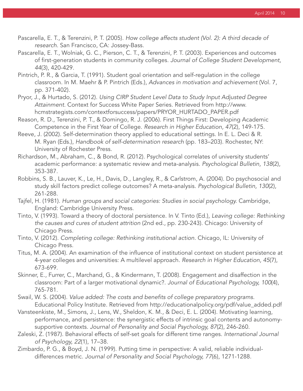- Pascarella, E. T., & Terenzini, P. T. (2005). How college affects student (Vol. 2): A third decade of research. San Francisco, CA: Jossey-Bass.
- Pascarella, E. T., Wolniak, G. C., Pierson, C. T., & Terenzini, P. T. (2003). Experiences and outcomes of first-generation students in community colleges. Journal of College Student Development, 44(3), 420-429.
- Pintrich, P. R., & Garcia, T. (1991). Student goal orientation and self-regulation in the college classroom. In M. Maehr & P. Pintrich (Eds.), Advances in motivation and achievement (Vol. 7, pp. 371-402).
- Pryor, J., & Hurtado, S. (2012). Using CIRP Student Level Data to Study Input Adjusted Degree Attainment. Context for Success White Paper Series. Retrieved from http://www. hcmstrategists.com/contextforsuccess/papers/PRYOR\_HURTADO\_PAPER.pdf
- Reason, R. D., Terenzini, P. T., & Domingo, R. J. (2006). First Things First: Developing Academic Competence in the First Year of College. Research in Higher Education, 47(2), 149-175.
- Reeve, J. (2002). Self-determination theory applied to educational settings. In E. L. Deci & R. M. Ryan (Eds.), Handbook of self-determination research (pp. 183–203). Rochester, NY: University of Rochester Press.
- Richardson, M., Abraham, C., & Bond, R. (2012). Psychological correlates of university students' academic performance: a systematic review and meta-analysis. Psychological Bulletin, 138(2), 353-387.
- Robbins, S. B., Lauver, K., Le, H., Davis, D., Langley, R., & Carlstrom, A. (2004). Do psychosocial and study skill factors predict college outcomes? A meta-analysis. Psychological Bulletin, 130(2), 261-288.
- Tajfel, H. (1981). Human groups and social categories: Studies in social psychology. Cambridge, England: Cambridge University Press.
- Tinto, V. (1993). Toward a theory of doctoral persistence. In V. Tinto (Ed.), Leaving college: Rethinking the causes and cures of student attrition (2nd ed., pp. 230-243). Chicago: University of Chicago Press.
- Tinto, V. (2012). Completing college: Rethinking institutional action. Chicago, IL: University of Chicago Press.
- Titus, M. A. (2004). An examination of the influence of institutional context on student persistence at 4-year colleges and universities: A multilevel approach. Research in Higher Education, 45(7), 673-699.
- Skinner, E., Furrer, C., Marchand, G., & Kindermann, T. (2008). Engagement and disaffection in the classroom: Part of a larger motivational dynamic?. Journal of Educational Psychology, 100(4), 765-781.
- Swail, W. S. (2004). Value added: The costs and benefits of college preparatory programs. Educational Policy Institute. Retrieved from http://educationalpolicy.org/pdf/value\_added.pdf
- Vansteenkiste, M., Simons, J., Lens, W., Sheldon, K. M., & Deci, E. L. (2004). Motivating learning, performance, and persistence: the synergistic effects of intrinsic goal contents and autonomy supportive contexts. Journal of Personality and Social Psychology, 87(2), 246-260.
- Zaleski, Z. (1987). Behavioral effects of self-set goals for different time ranges. International Journal of Psychology, 22(1), 17–38.
- Zimbardo, P. G., & Boyd, J. N. (1999). Putting time in perspective: A valid, reliable individual differences metric. Journal of Personality and Social Psychology, 77(6), 1271-1288.